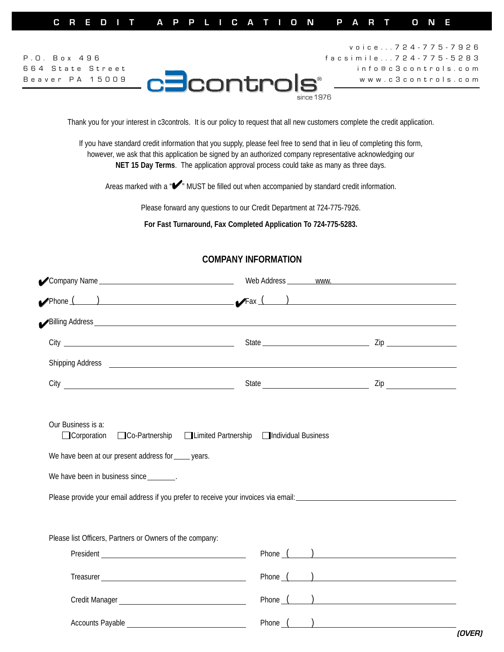Thank you for your interest in c3controls. It is our policy to request that all new customers complete the credit application.

If you have standard credit information that you supply, please feel free to send that in lieu of completing this form, however, we ask that this application be signed by an authorized company representative acknowledging our **NET 15 Day Terms**. The application approval process could take as many as three days.

Areas marked with a " $\blacktriangleright$ " MUST be filled out when accompanied by standard credit information.

Please forward any questions to our Credit Department at 724-775-7926.

**For Fast Turnaround, Fax Completed Application To 724-775-5283.**

| $\sqrt{2}$ Company Name                                                                                                                      |                                                                                                                                                                                                                                    | Web Address _________ www. |  |  |
|----------------------------------------------------------------------------------------------------------------------------------------------|------------------------------------------------------------------------------------------------------------------------------------------------------------------------------------------------------------------------------------|----------------------------|--|--|
|                                                                                                                                              |                                                                                                                                                                                                                                    |                            |  |  |
|                                                                                                                                              |                                                                                                                                                                                                                                    |                            |  |  |
|                                                                                                                                              |                                                                                                                                                                                                                                    |                            |  |  |
|                                                                                                                                              | Shipping Address <u>Communications</u> Control and Control and Control and Control and Control and Control and Control and Control and Control and Control and Control and Control and Control and Control and Control and Control |                            |  |  |
|                                                                                                                                              |                                                                                                                                                                                                                                    |                            |  |  |
| Our Business is a:<br><b>Corporation</b><br>We have been at our present address for _____ years.<br>We have been in business since ________. | □Co-Partnership □Limited Partnership □Individual Business                                                                                                                                                                          |                            |  |  |
|                                                                                                                                              | Please provide your email address if you prefer to receive your invoices via email:                                                                                                                                                |                            |  |  |
| Please list Officers, Partners or Owners of the company:                                                                                     |                                                                                                                                                                                                                                    |                            |  |  |
|                                                                                                                                              |                                                                                                                                                                                                                                    | Phone $($ $)$              |  |  |
|                                                                                                                                              |                                                                                                                                                                                                                                    | Phone ( )                  |  |  |
|                                                                                                                                              |                                                                                                                                                                                                                                    | Phone $($ $)$              |  |  |
|                                                                                                                                              |                                                                                                                                                                                                                                    | Phone $($ $)$              |  |  |

## **COMPANY INFORMATION**

✔